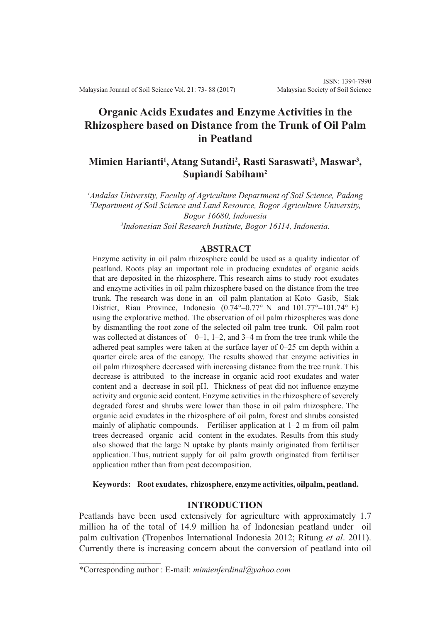# **Organic Acids Exudates and Enzyme Activities in the Rhizosphere based on Distance from the Trunk of Oil Palm in Peatland**

## **Mimien Harianti1 , Atang Sutandi2 , Rasti Saraswati3 , Maswar3 , Supiandi Sabiham2**

 *Andalas University, Faculty of Agriculture Department of Soil Science, Padang Department of Soil Science and Land Resource, Bogor Agriculture University, Bogor 16680, Indonesia Indonesian Soil Research Institute, Bogor 16114, Indonesia.*

#### **ABSTRACT**

Enzyme activity in oil palm rhizosphere could be used as a quality indicator of peatland. Roots play an important role in producing exudates of organic acids that are deposited in the rhizosphere. This research aims to study root exudates and enzyme activities in oil palm rhizosphere based on the distance from the tree trunk. The research was done in an oil palm plantation at Koto Gasib, Siak District, Riau Province, Indonesia (0.74°–0.77° N and 101.77°–101.74° E) using the explorative method. The observation of oil palm rhizospheres was done by dismantling the root zone of the selected oil palm tree trunk. Oil palm root was collected at distances of  $0-1$ , 1–2, and 3–4 m from the tree trunk while the adhered peat samples were taken at the surface layer of 0–25 cm depth within a quarter circle area of the canopy. The results showed that enzyme activities in oil palm rhizosphere decreased with increasing distance from the tree trunk. This decrease is attributed to the increase in organic acid root exudates and water content and a decrease in soil pH. Thickness of peat did not influence enzyme activity and organic acid content. Enzyme activities in the rhizosphere of severely degraded forest and shrubs were lower than those in oil palm rhizosphere. The organic acid exudates in the rhizosphere of oil palm, forest and shrubs consisted mainly of aliphatic compounds. Fertiliser application at 1–2 m from oil palm trees decreased organic acid content in the exudates. Results from this study also showed that the large N uptake by plants mainly originated from fertiliser application. Thus, nutrient supply for oil palm growth originated from fertiliser application rather than from peat decomposition.

**Keywords: Root exudates, rhizosphere, enzyme activities, oilpalm, peatland.** 

## **INTRODUCTION**

Peatlands have been used extensively for agriculture with approximately 1.7 million ha of the total of 14.9 million ha of Indonesian peatland under oil palm cultivation (Tropenbos International Indonesia 2012; Ritung *et al*. 2011). Currently there is increasing concern about the conversion of peatland into oil

 $\mathcal{L}$  , we have the set of the set of the set of the set of the set of the set of the set of the set of the set of the set of the set of the set of the set of the set of the set of the set of the set of the set of the

<sup>\*</sup>Corresponding author : E-mail: *mimienferdinal@yahoo.com*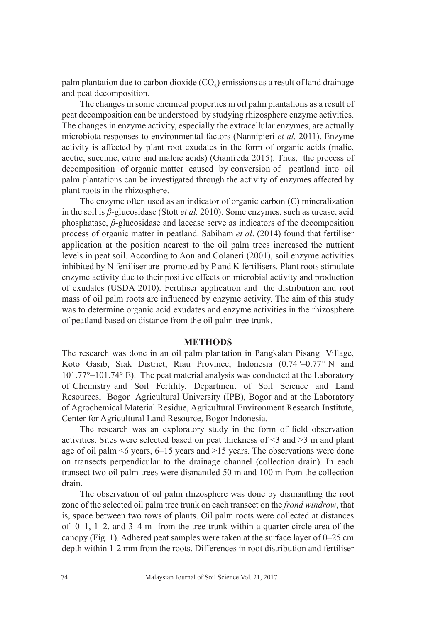palm plantation due to carbon dioxide  $(CO_2)$  emissions as a result of land drainage and peat decomposition.

The changes in some chemical properties in oil palm plantations as a result of peat decomposition can be understood by studying rhizosphere enzyme activities. The changes in enzyme activity, especially the extracellular enzymes, are actually microbiota responses to environmental factors (Nannipieri *et al.* 2011). Enzyme activity is affected by plant root exudates in the form of organic acids (malic, acetic, succinic, citric and maleic acids) (Gianfreda 2015). Thus, the process of decomposition of organic matter caused by conversion of peatland into oil palm plantations can be investigated through the activity of enzymes affected by plant roots in the rhizosphere.

The enzyme often used as an indicator of organic carbon (C) mineralization in the soil is *β*-glucosidase (Stott *et al.* 2010). Some enzymes, such as urease, acid phosphatase, *β*-glucosidase and laccase serve as indicators of the decomposition process of organic matter in peatland. Sabiham *et al*. (2014) found that fertiliser application at the position nearest to the oil palm trees increased the nutrient levels in peat soil. According to Aon and Colaneri (2001), soil enzyme activities inhibited by N fertiliser are promoted by P and K fertilisers. Plant roots stimulate enzyme activity due to their positive effects on microbial activity and production of exudates (USDA 2010). Fertiliser application and the distribution and root mass of oil palm roots are influenced by enzyme activity. The aim of this study was to determine organic acid exudates and enzyme activities in the rhizosphere of peatland based on distance from the oil palm tree trunk.

#### **METHODS**

The research was done in an oil palm plantation in Pangkalan Pisang Village, Koto Gasib, Siak District, Riau Province, Indonesia (0.74°–0.77° N and 101.77°–101.74° E). The peat material analysis was conducted at the Laboratory of Chemistry and Soil Fertility, Department of Soil Science and Land Resources, Bogor Agricultural University (IPB), Bogor and at the Laboratory of Agrochemical Material Residue, Agricultural Environment Research Institute, Center for Agricultural Land Resource, Bogor Indonesia.

The research was an exploratory study in the form of field observation activities. Sites were selected based on peat thickness of <3 and >3 m and plant age of oil palm <6 years, 6–15 years and >15 years. The observations were done on transects perpendicular to the drainage channel (collection drain). In each transect two oil palm trees were dismantled 50 m and 100 m from the collection drain.

The observation of oil palm rhizosphere was done by dismantling the root zone of the selected oil palm tree trunk on each transect on the *frond windrow*, that is, space between two rows of plants. Oil palm roots were collected at distances of  $0-1$ ,  $1-2$ , and  $3-4$  m from the tree trunk within a quarter circle area of the canopy (Fig. 1). Adhered peat samples were taken at the surface layer of 0–25 cm depth within 1-2 mm from the roots. Differences in root distribution and fertiliser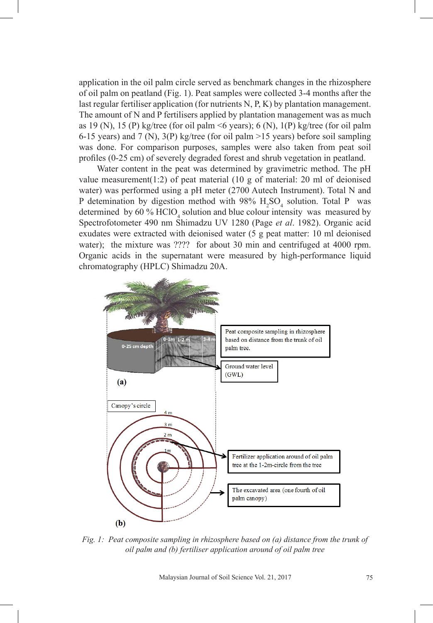application in the oil palm circle served as benchmark changes in the rhizosphere of oil palm on peatland (Fig. 1). Peat samples were collected 3-4 months after the last regular fertiliser application (for nutrients N, P, K) by plantation management. The amount of N and P fertilisers applied by plantation management was as much as 19 (N), 15 (P) kg/tree (for oil palm  $\leq 6$  years); 6 (N), 1(P) kg/tree (for oil palm 6-15 years) and 7 (N), 3(P) kg/tree (for oil palm >15 years) before soil sampling was done. For comparison purposes, samples were also taken from peat soil profiles (0-25 cm) of severely degraded forest and shrub vegetation in peatland.

Water content in the peat was determined by gravimetric method. The pH value measurement(1:2) of peat material (10 g of material: 20 ml of deionised water) was performed using a pH meter (2700 Autech Instrument). Total N and P detemination by digestion method with  $98\%$  H<sub>2</sub>SO<sub>4</sub> solution. Total P was determined by  $60\%$  HClO<sub>4</sub> solution and blue colour intensity was measured by Spectrofotometer 490 nm Shimadzu UV 1280 (Page *et al*. 1982). Organic acid exudates were extracted with deionised water (5 g peat matter: 10 ml deionised water); the mixture was ???? for about 30 min and centrifuged at 4000 rpm. Organic acids in the supernatant were measured by high-performance liquid chromatography (HPLC) Shimadzu 20A.



*Fig. 1: Peat composite sampling in rhizosphere based on (a) distance from the trunk of*  oil palm and (b) fertiliser application around of oil palm tree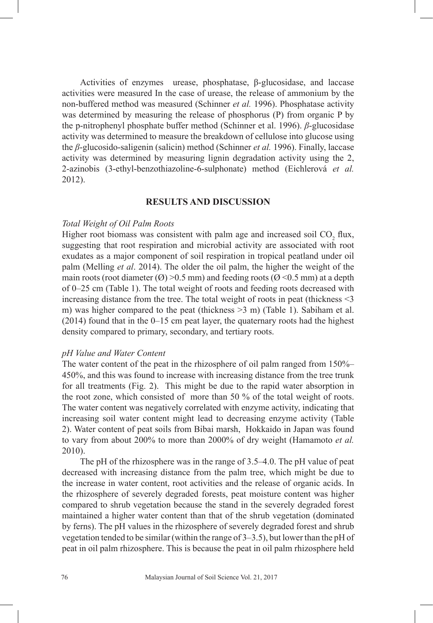Activities of enzymes urease, phosphatase, β-glucosidase, and laccase activities were measured In the case of urease, the release of ammonium by the non-buffered method was measured (Schinner *et al.* 1996). Phosphatase activity was determined by measuring the release of phosphorus (P) from organic P by the p-nitrophenyl phosphate buffer method (Schinner et al. 1996). *β*-glucosidase activity was determined to measure the breakdown of cellulose into glucose using the *β*-glucosido-saligenin (salicin) method (Schinner *et al.* 1996). Finally, laccase activity was determined by measuring lignin degradation activity using the 2, 2-azinobis (3-ethyl-benzothiazoline-6-sulphonate) method (Eichlerová *et al.*  2012).

## **RESULTS AND DISCUSSION**

## *Total Weight of Oil Palm Roots*

Higher root biomass was consistent with palm age and increased soil  $CO<sub>2</sub>$  flux, suggesting that root respiration and microbial activity are associated with root exudates as a major component of soil respiration in tropical peatland under oil palm (Melling *et al*. 2014). The older the oil palm, the higher the weight of the main roots (root diameter  $(\emptyset) > 0.5$  mm) and feeding roots ( $\emptyset < 0.5$  mm) at a depth of 0–25 cm (Table 1). The total weight of roots and feeding roots decreased with increasing distance from the tree. The total weight of roots in peat (thickness <3 m) was higher compared to the peat (thickness  $>3$  m) (Table 1). Sabiham et al. (2014) found that in the 0–15 cm peat layer, the quaternary roots had the highest density compared to primary, secondary, and tertiary roots.

#### *pH Value and Water Content*

The water content of the peat in the rhizosphere of oil palm ranged from 150%– 450%, and this was found to increase with increasing distance from the tree trunk for all treatments (Fig. 2). This might be due to the rapid water absorption in the root zone, which consisted of more than 50 % of the total weight of roots. The water content was negatively correlated with enzyme activity, indicating that increasing soil water content might lead to decreasing enzyme activity (Table 2). Water content of peat soils from Bibai marsh, Hokkaido in Japan was found to vary from about 200% to more than 2000% of dry weight (Hamamoto *et al.* 2010).

The pH of the rhizosphere was in the range of 3.5–4.0. The pH value of peat decreased with increasing distance from the palm tree, which might be due to the increase in water content, root activities and the release of organic acids. In the rhizosphere of severely degraded forests, peat moisture content was higher compared to shrub vegetation because the stand in the severely degraded forest maintained a higher water content than that of the shrub vegetation (dominated by ferns). The pH values in the rhizosphere of severely degraded forest and shrub vegetation tended to be similar (within the range of 3–3.5), but lower than the pH of peat in oil palm rhizosphere. This is because the peat in oil palm rhizosphere held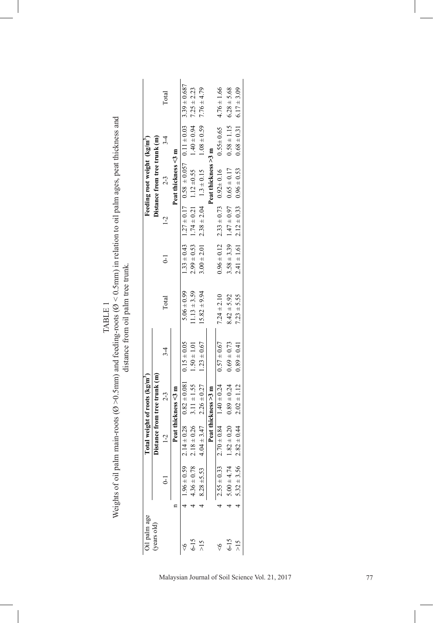| l<br>Ė | $\overline{\phantom{a}}$<br>i<br>֖֖֖֖֧ׅ֪ׅׅ֖֚֚֚֚֚֚֚֚֚֚֚֚֚֚֚֚֚֚֚֚֬֕֓֕֝֝֝֝֬֓֬֝֬֝֬<br>Weights of oi. |
|--------|--------------------------------------------------------------------------------------------------|
|--------|--------------------------------------------------------------------------------------------------|

| l palm age    |                 |                 | Total weight of roots $(kg/m^2)$                 |                 |                  |                 |                                                 | Feeding root weight $(kg/m^2)$                                                    |                                 |                 |
|---------------|-----------------|-----------------|--------------------------------------------------|-----------------|------------------|-----------------|-------------------------------------------------|-----------------------------------------------------------------------------------|---------------------------------|-----------------|
| years old)    |                 |                 | Distance from tree trunk (m)                     |                 |                  |                 |                                                 | Distance from tree trunk (m)                                                      |                                 |                 |
|               |                 | $1 - 2$         | $2 - 3$                                          | $\frac{3}{4}$   | Total            | J               |                                                 | $2 - 3$                                                                           |                                 | Total           |
|               |                 |                 | Peat thickness <3 m                              |                 |                  |                 |                                                 | Peat thickness <3 m                                                               |                                 |                 |
|               | $1.96 \pm 0.59$ |                 | $2.14 \pm 0.28$ $0.82 \pm 0.081$ $0.15 \pm 0.05$ |                 | $5.06 \pm 0.99$  |                 |                                                 | $1.33 \pm 0.43$ $1.27 \pm 0.17$ $0.58 \pm 0.057$ $0.11 \pm 0.03$ $3.39 \pm 0.687$ |                                 |                 |
| 515           | $4.36 \pm 0.78$ |                 | $2.18 \pm 0.26$ $3.11 \pm 1.55$                  | $1.50 \pm 1.01$ | $11.13 \pm 3.59$ |                 |                                                 | $2.99 \pm 0.53$ $1.74 \pm 0.21$ $1.12 \pm 0.55$ $1.40 \pm 0.94$ $7.25 \pm 2.23$   |                                 |                 |
| $\frac{5}{2}$ | $8.28 + 5.53$   |                 | $4.04 \pm 3.47$ $2.26 \pm 0.27$ $1.23 \pm 0.67$  |                 | $15.82 \pm 9.94$ | $3.00 \pm 2.01$ |                                                 | $2.38 \pm 2.04$ 1.3 $\pm 0.15$                                                    | $1.08 \pm 0.59$                 | $7.76 \pm 4.79$ |
|               |                 |                 | Peat thickness >3 m                              |                 |                  |                 |                                                 | Peat thickness >3 m                                                               |                                 |                 |
|               | $2.55 \pm 0.33$ |                 | $2.70 \pm 0.84$ $1.40 \pm 0.24$ $0.57 \pm 0.67$  |                 | $7.24 \pm 2.10$  |                 |                                                 | $0.96 \pm 0.12$ $2.33 \pm 0.73$ $0.92 \pm 0.16$                                   | $0.55 \pm 0.65$                 | $4.76 \pm 1.66$ |
| $6 - 15$      | $5.00 \pm 4.74$ |                 | $1.82 \pm 0.20$ 0.89 $\pm 0.24$                  | $0.69 \pm 0.73$ | $8.42 \pm 5.92$  |                 | $3.58 \pm 3.39$ $1.47 \pm 0.97$ $0.65 \pm 0.17$ |                                                                                   | $0.58 \pm 1.15$                 | $6.28 \pm 5.68$ |
| $\frac{5}{2}$ | $3.32 \pm 3.56$ | $2.82 \pm 0.44$ | $2.02 \pm 1.12$                                  | $0.89 \pm 0.41$ | $7.23 \pm 5.55$  |                 | $2.41 \pm 1.61$ $2.12 \pm 0.33$ $0.96 \pm 0.53$ |                                                                                   | $0.68 \pm 0.31$ 6.17 $\pm 3.09$ |                 |
|               |                 |                 |                                                  |                 |                  |                 |                                                 |                                                                                   |                                 |                 |

Malaysian Journal of Soil Science Vol. 21, 2017 77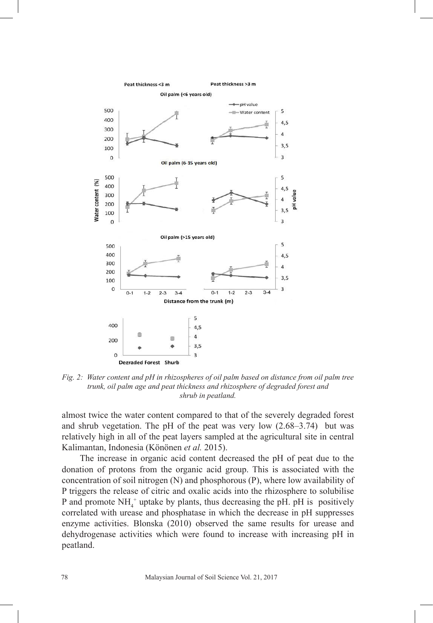

Fig. 2: Water content and pH in rhizospheres of oil palm based on distance from oil palm tree trunk, oil palm age and peat thickness and rhizosphere of degraded forest and *shrub in peatland.*  $\mathbf{c}$  in peak  $\mathbf{r}$ 

almost twice the water content compared to that of the severely degraded forest and shrub vegetation. The pH of the peat was very low (2.68–3.74) but was relatively high in all of the peat layers sampled at the agricultural site in central Kalimantan, Indonesia (Könönen *et al.* 2015).

The increase in organic acid content decreased the pH of peat due to the donation of protons from the organic acid group. This is associated with the concentration of soil nitrogen (N) and phosphorous (P), where low availability of P triggers the release of citric and oxalic acids into the rhizosphere to solubilise P and promote  $NH_4^+$  uptake by plants, thus decreasing the pH. pH is positively correlated with urease and phosphatase in which the decrease in pH suppresses enzyme activities. Blonska (2010) observed the same results for urease and dehydrogenase activities which were found to increase with increasing pH in peatland.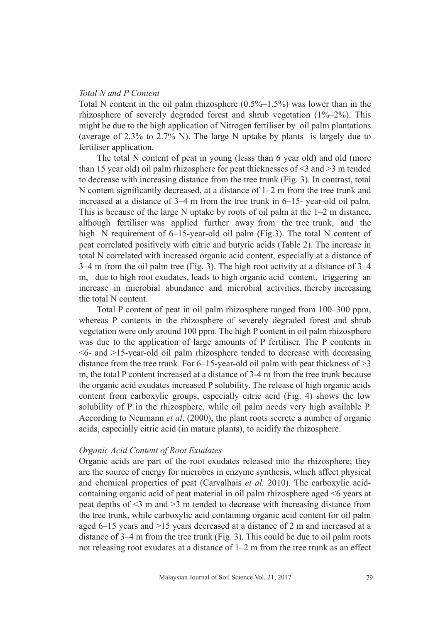## *Total N and P Content*

Total N content in the oil palm rhizosphere (0.5%–1.5%) was lower than in the rhizosphere of severely degraded forest and shrub vegetation (1%–2%). This might be due to the high application of Nitrogen fertiliser by oil palm plantations (average of 2.3% to 2.7% N). The large N uptake by plants is largely due to fertiliser application.

The total N content of peat in young (lesss than 6 year old) and old (more than 15 year old) oil palm rhizosphere for peat thicknesses of <3 and >3 m tended to decrease with increasing distance from the tree trunk (Fig. 3). In contrast, total N content significantly decreased, at a distance of 1–2 m from the tree trunk and increased at a distance of 3–4 m from the tree trunk in 6–15- year-old oil palm. This is because of the large N uptake by roots of oil palm at the 1–2 m distance, although fertiliser was applied further away from the tree trunk, and the high N requirement of 6–15-year-old oil palm (Fig.3). The total N content of peat correlated positively with citric and butyric acids (Table 2). The increase in total N correlated with increased organic acid content, especially at a distance of 3–4 m from the oil palm tree (Fig. 3). The high root activity at a distance of 3–4 m, due to high root exudates, leads to high organic acid content, triggering an increase in microbial abundance and microbial activities, thereby increasing the total N content.

Total P content of peat in oil palm rhizosphere ranged from 100–300 ppm, whereas P contents in the rhizosphere of severely degraded forest and shrub vegetation were only around 100 ppm. The high P content in oil palm rhizosphere was due to the application of large amounts of P fertiliser. The P contents in  $\leq$ 6- and  $\geq$ 15-year-old oil palm rhizosphere tended to decrease with decreasing distance from the tree trunk. For  $6-15$ -year-old oil palm with peat thickness of  $>3$ m, the total P content increased at a distance of 3-4 m from the tree trunk because the organic acid exudates increased P solubility. The release of high organic acids content from carboxylic groups, especially citric acid (Fig. 4) shows the low solubility of P in the rhizosphere, while oil palm needs very high available P. According to Neumann *et al*. (2000), the plant roots secrete a number of organic acids, especially citric acid (in mature plants), to acidify the rhizosphere.

#### *Organic Acid Content of Root Exudates*

Organic acids are part of the root exudates released into the rhizosphere; they are the source of energy for microbes in enzyme synthesis, which affect physical and chemical properties of peat (Carvalhais *et al.* 2010). The carboxylic acidcontaining organic acid of peat material in oil palm rhizosphere aged <6 years at peat depths of <3 m and >3 m tended to decrease with increasing distance from the tree trunk, while carboxylic acid containing organic acid content for oil palm aged 6–15 years and >15 years decreased at a distance of 2 m and increased at a distance of 3–4 m from the tree trunk (Fig. 3). This could be due to oil palm roots not releasing root exudates at a distance of 1–2 m from the tree trunk as an effect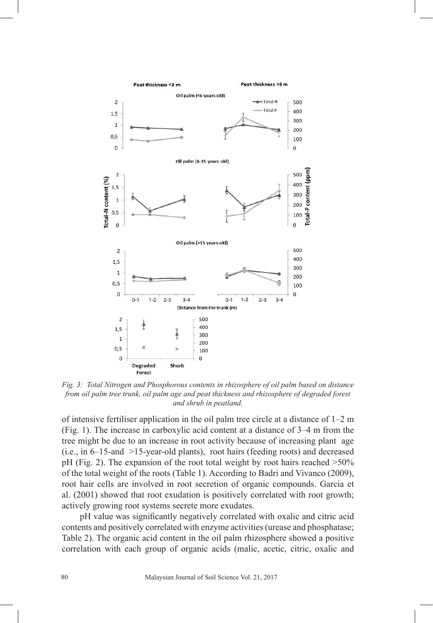

*Fig. 3: Total Nitrogen and Phosphorous contents in rhizosphere of oil palm based on distance*  from oil palm tree trunk, oil palm age and peat thickness and rhizosphere of degraded forest and shrub in peatland. and shrub in peatland.

of intensive fertiliser application in the oil palm tree circle at a distance of  $1-2$  m (Fig. 1). The increase in carboxylic acid content at a distance of 3–4 m from the tree might be due to an increase in root activity because of increasing plant age (i.e., in 6–15-and >15-year-old plants), root hairs (feeding roots) and decreased pH (Fig. 2). The expansion of the root total weight by root hairs reached >50% of the total weight of the roots (Table 1). According to Badri and Vivanco (2009), root hair cells are involved in root secretion of organic compounds. Garcia et al. (2001) showed that root exudation is positively correlated with root growth; actively growing root systems secrete more exudates.

pH value was significantly negatively correlated with oxalic and citric acid contents and positively correlated with enzyme activities (urease and phosphatase; Table 2). The organic acid content in the oil palm rhizosphere showed a positive correlation with each group of organic acids (malic, acetic, citric, oxalic and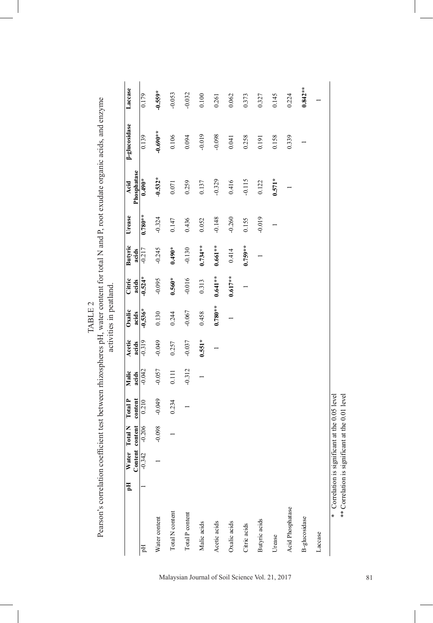|                                                                        |        |                          |                          |                              |                |                 | activities in peatland.         |                 |                  |           |                     |                      |           |
|------------------------------------------------------------------------|--------|--------------------------|--------------------------|------------------------------|----------------|-----------------|---------------------------------|-----------------|------------------|-----------|---------------------|----------------------|-----------|
|                                                                        | ⋝<br>필 | ater<br>Content          | Total N<br>content       | Total P<br>content           | Malic<br>acids | Acetic<br>acids | Oxalic                          | Citric<br>acids | Butyric<br>acids | Urease    | Phosphatase<br>Acid | <b>B-glucosidase</b> | Laccase   |
| 핌                                                                      |        | 0.342                    | $-0.206$                 | 0.210                        | $-0.042$       | $-0.319$        | $\frac{\text{acids}}{-0.536^*}$ | $-0.524*$       | $-0.217$         | $0.780**$ | $0.490*$            | 0.139                | 0.179     |
| Water content                                                          |        | $\overline{\phantom{0}}$ | $-0.098$                 | $-0.049$                     | $-0.057$       | $-0.049$        | 0.130                           | $-0.095$        | $-0.245$         | $-0.324$  | $-0.532*$           | $-0.690**$           | $-0.559*$ |
| Total N content                                                        |        |                          | $\overline{\phantom{0}}$ | 0.234                        | 0.111          | 0.257           | 0.244                           | $0.560*$        | $0.490*$         | 0.147     | 0.071               | 0.106                | $-0.053$  |
| Total P content                                                        |        |                          |                          |                              | $-0.312$       | $-0.037$        | $-0.067$                        | $-0.016$        | $-0.130$         | 0.436     | 0.259               | 0.094                | $-0.032$  |
| Malic acids                                                            |        |                          |                          |                              |                | $0.551*$        | 0.458                           | 0.313           | $0.734**$        | 0.052     | 0.137               | $-0.019$             | 0.100     |
| Acetic acids                                                           |        |                          |                          |                              |                |                 | $0.780**$                       | $0.641**$       | $0.661**$        | $-0.148$  | $-0.329$            | $-0.098$             | 0.261     |
| Oxalic acids                                                           |        |                          |                          |                              |                |                 |                                 | $0.617**$       | 0.414            | $-0.260$  | 0.416               | 0.041                | 0.062     |
| Citric acids                                                           |        |                          |                          |                              |                |                 |                                 |                 | $0.759**$        | 0.155     | $-0.115$            | 0.258                | 0.373     |
| Butyric acids                                                          |        |                          |                          |                              |                |                 |                                 |                 |                  | $-0.019$  | 0.122               | 0.191                | 0.327     |
| Urease                                                                 |        |                          |                          |                              |                |                 |                                 |                 |                  |           | $0.571*$            | 0.158                | 0.145     |
| Acid Phosphatase                                                       |        |                          |                          |                              |                |                 |                                 |                 |                  |           |                     | 0.339                | 0.224     |
| B-glucosidase                                                          |        |                          |                          |                              |                |                 |                                 |                 |                  |           |                     |                      | $0.842**$ |
| Laccase                                                                |        |                          |                          |                              |                |                 |                                 |                 |                  |           |                     |                      |           |
| * Correlation is significant at the 0.05 level<br>** Correlation is si |        |                          |                          | ignificant at the 0.01 level |                |                 |                                 |                 |                  |           |                     |                      |           |

Pearson's correlation coefficient test between rhizospheres pH, water content for total N and P, root exudate organic acids, and enzyme Pearson's correlation coefficient test between rhizospheres pH, water content for total N and P, root exudate organic acids, and enzyme Pearson's correlation coefficient test between rhizospheres pH, water content for total N and P, root exudate organic acids, and enzyme TABLE<sub>2</sub> TABLE 2

Malaysian Journal of Soil Science Vol. 21, 2017 81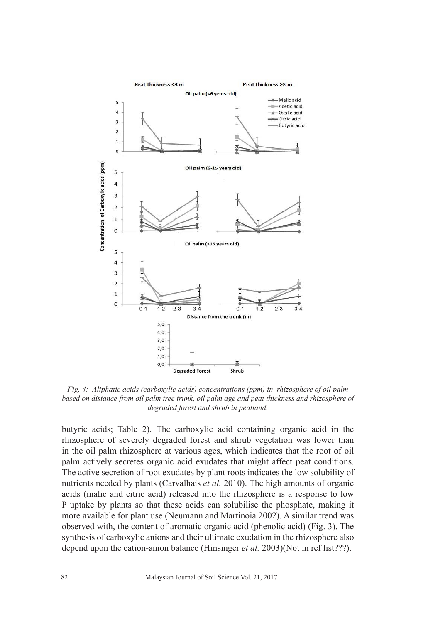

Fig. 4: Aliphatic acids (carboxylic acids) concentrations (ppm) in rhizosphere of oil palm *based on distance from oil palm tree trunk, oil palm age and peat thickness and rhizosphere of*  based on distance from oil palm tree trunk, oil palm age and peat thickness and degraded forest and shrub in peatland.

butyric acids; Table 2). The carboxylic acid containing organic acid in the rhizosphere of severely degraded forest and shrub vegetation was lower than in the oil palm rhizosphere at various ages, which indicates that the root of oil palm actively secretes organic acid exudates that might affect peat conditions. The active secretion of root exudates by plant roots indicates the low solubility of nutrients needed by plants (Carvalhais *et al.* 2010). The high amounts of organic acids (malic and citric acid) released into the rhizosphere is a response to low P uptake by plants so that these acids can solubilise the phosphate, making it more available for plant use (Neumann and Martinoia 2002). A similar trend was observed with, the content of aromatic organic acid (phenolic acid) (Fig. 3). The synthesis of carboxylic anions and their ultimate exudation in the rhizosphere also depend upon the cation-anion balance (Hinsinger *et al.* 2003)(Not in ref list???).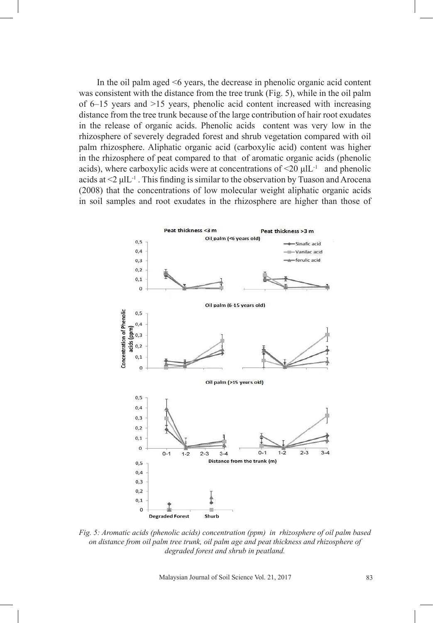In the oil palm aged <6 years, the decrease in phenolic organic acid content was consistent with the distance from the tree trunk (Fig. 5), while in the oil palm of 6–15 years and >15 years, phenolic acid content increased with increasing distance from the tree trunk because of the large contribution of hair root exudates in the release of organic acids. Phenolic acids content was very low in the rhizosphere of severely degraded forest and shrub vegetation compared with oil palm rhizosphere. Aliphatic organic acid (carboxylic acid) content was higher in the rhizosphere of peat compared to that of aromatic organic acids (phenolic acids), where carboxylic acids were at concentrations of  $\leq 20 \mu L^{-1}$  and phenolic acids at  $\leq 2 \mu L^{-1}$ . This finding is similar to the observation by Tuason and Arocena (2008) that the concentrations of low molecular weight aliphatic organic acids in soil samples and root exudates in the rhizosphere are higher than those of



Fig. 5: Aromatic acids (phenolic acids) concentration (ppm) in rhizosphere of oil palm based on distance from oil palm tree trunk, oil palm age and peat thickness and rhizosphere of degraded forest and shrub in peatland.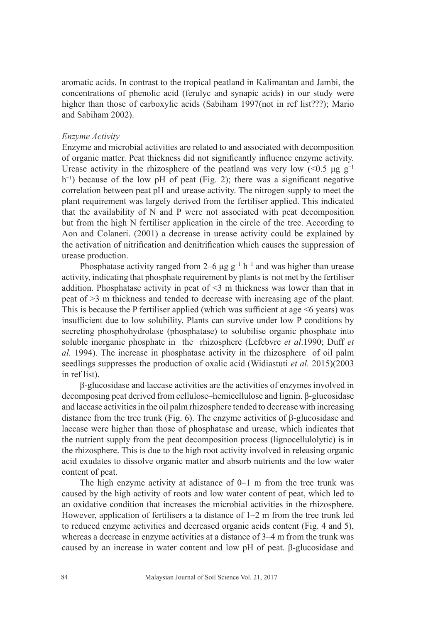aromatic acids. In contrast to the tropical peatland in Kalimantan and Jambi, the concentrations of phenolic acid (ferulyc and synapic acids) in our study were higher than those of carboxylic acids (Sabiham 1997(not in ref list???); Mario and Sabiham 2002).

#### *Enzyme Activity*

Enzyme and microbial activities are related to and associated with decomposition of organic matter. Peat thickness did not significantly influence enzyme activity. Urease activity in the rhizosphere of the peatland was very low (<0.5 μg  $g^{-1}$ ) h<sup>-1</sup>) because of the low pH of peat (Fig. 2); there was a significant negative correlation between peat pH and urease activity. The nitrogen supply to meet the plant requirement was largely derived from the fertiliser applied. This indicated that the availability of N and P were not associated with peat decomposition but from the high N fertiliser application in the circle of the tree. According to Aon and Colaneri. (2001) a decrease in urease activity could be explained by the activation of nitrification and denitrification which causes the suppression of urease production.

Phosphatase activity ranged from 2–6 μg  $g^{-1}$  h<sup>-1</sup> and was higher than urease activity, indicating that phosphate requirement by plants is not met by the fertiliser addition. Phosphatase activity in peat of <3 m thickness was lower than that in peat of >3 m thickness and tended to decrease with increasing age of the plant. This is because the P fertiliser applied (which was sufficient at age <6 years) was insufficient due to low solubility. Plants can survive under low P conditions by secreting phosphohydrolase (phosphatase) to solubilise organic phosphate into soluble inorganic phosphate in the rhizosphere (Lefebvre *et al*.1990; Duff *et al.* 1994). The increase in phosphatase activity in the rhizosphere of oil palm seedlings suppresses the production of oxalic acid (Widiastuti *et al.* 2015)(2003 in ref list).

β-glucosidase and laccase activities are the activities of enzymes involved in decomposing peat derived from cellulose–hemicellulose and lignin. β-glucosidase and laccase activities in the oil palm rhizosphere tended to decrease with increasing distance from the tree trunk (Fig. 6). The enzyme activities of β-glucosidase and laccase were higher than those of phosphatase and urease, which indicates that the nutrient supply from the peat decomposition process (lignocellulolytic) is in the rhizosphere. This is due to the high root activity involved in releasing organic acid exudates to dissolve organic matter and absorb nutrients and the low water content of peat.

The high enzyme activity at adistance of  $0-1$  m from the tree trunk was caused by the high activity of roots and low water content of peat, which led to an oxidative condition that increases the microbial activities in the rhizosphere. However, application of fertilisers a ta distance of  $1-2$  m from the tree trunk led to reduced enzyme activities and decreased organic acids content (Fig. 4 and 5), whereas a decrease in enzyme activities at a distance of 3–4 m from the trunk was caused by an increase in water content and low pH of peat. β-glucosidase and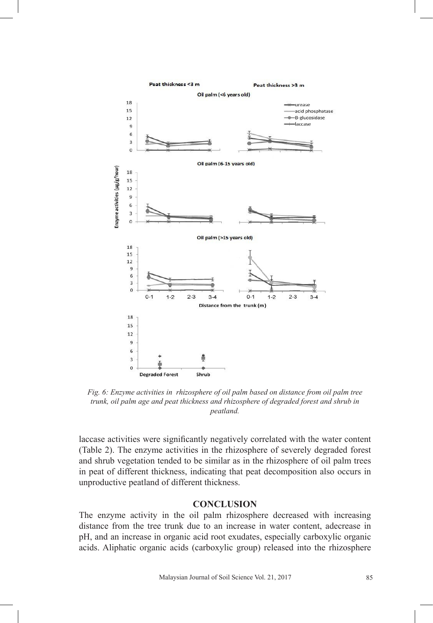

Fig. 6: Enzyme activities in rhizosphere of oil palm based on distance from oil palm tree *trunk, oil palm age and peat thickness and rhizosphere of degraded forest and shrub in*  trunk, oil palm age and peat thickness and rhizosphere of degraded forest and shrub *peatland.*

laccase activities were significantly negatively correlated with the water content (Table 2). The enzyme activities in the rhizosphere of severely degraded forest and shrub vegetation tended to be similar as in the rhizosphere of oil palm trees in peat of different thickness, indicating that peat decomposition also occurs in unproductive peatland of different thickness.

## **CONCLUSION**

The enzyme activity in the oil palm rhizosphere decreased with increasing distance from the tree trunk due to an increase in water content, adecrease in pH, and an increase in organic acid root exudates, especially carboxylic organic acids. Aliphatic organic acids (carboxylic group) released into the rhizosphere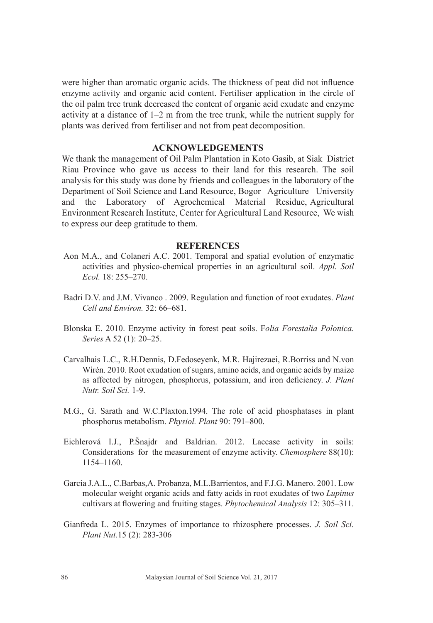were higher than aromatic organic acids. The thickness of peat did not influence enzyme activity and organic acid content. Fertiliser application in the circle of the oil palm tree trunk decreased the content of organic acid exudate and enzyme activity at a distance of 1–2 m from the tree trunk, while the nutrient supply for plants was derived from fertiliser and not from peat decomposition.

## **ACKNOWLEDGEMENTS**

We thank the management of Oil Palm Plantation in Koto Gasib, at Siak District Riau Province who gave us access to their land for this research. The soil analysis for this study was done by friends and colleagues in the laboratory of the Department of Soil Science and Land Resource, Bogor Agriculture University and the Laboratory of Agrochemical Material Residue, Agricultural Environment Research Institute, Center for Agricultural Land Resource, We wish to express our deep gratitude to them.

## **REFERENCES**

- Aon M.A., and Colaneri A.C. 2001. Temporal and spatial evolution of enzymatic activities and physico-chemical properties in an agricultural soil. *Appl. Soil Ecol.* 18: 255–270.
- Badri D.V. and J.M. Vivanco . 2009. Regulation and function of root exudates. *Plant Cell and Environ.* 32: 66–681.
- Blonska E. 2010. Enzyme activity in forest peat soils. F*olia Forestalia Polonica. Series* A 52 (1): 20–25.
- Carvalhais L.C., R.H.Dennis, D.Fedoseyenk, M.R. Hajirezaei, R.Borriss and N.von Wirén. 2010. Root exudation of sugars, amino acids, and organic acids by maize as affected by nitrogen, phosphorus, potassium, and iron deficiency. *J. Plant Nutr. Soil Sci.* 1-9.
- M.G., G. Sarath and W.C.Plaxton.1994. The role of acid phosphatases in plant phosphorus metabolism. *Physiol. Plant* 90: 791–800.
- Eichlerová I.J., P.Šnajdr and Baldrian. 2012. Laccase activity in soils: Considerations for the measurement of enzyme activity. *Chemosphere* 88(10): 1154–1160.
- Garcia J.A.L., C.Barbas,A. Probanza, M.L.Barrientos, and F.J.G. Manero. 2001. Low molecular weight organic acids and fatty acids in root exudates of two *Lupinus*  cultivars at flowering and fruiting stages. *Phytochemical Analysis* 12: 305–311.
- Gianfreda L. 2015. Enzymes of importance to rhizosphere processes. *J. Soil Sci. Plant Nut.*15 (2): 283-306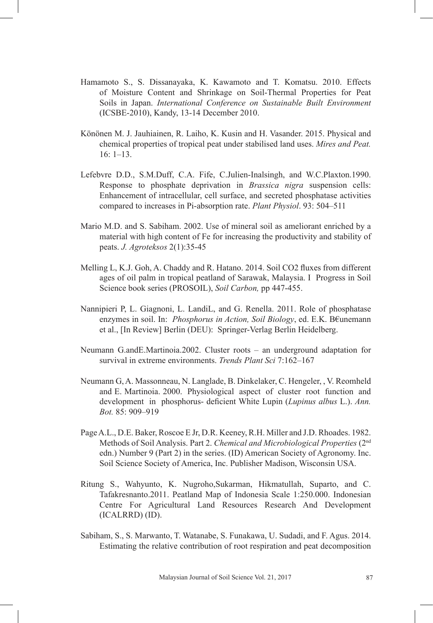- Hamamoto S., S. Dissanayaka, K. Kawamoto and T. Komatsu. 2010. Effects of Moisture Content and Shrinkage on Soil-Thermal Properties for Peat Soils in Japan. *International Conference on Sustainable Built Environment* (ICSBE-2010), Kandy, 13-14 December 2010.
- Könönen M. J. Jauhiainen, R. Laiho, K. Kusin and H. Vasander. 2015. Physical and chemical properties of tropical peat under stabilised land uses. *Mires and Peat.* 16: 1–13.
- Lefebvre D.D., S.M.Duff, C.A. Fife, C.Julien-Inalsingh, and W.C.Plaxton.1990. Response to phosphate deprivation in *Brassica nigra* suspension cells: Enhancement of intracellular, cell surface, and secreted phosphatase activities compared to increases in Pi-absorption rate. *Plant Physiol*. 93: 504–511
- Mario M.D. and S. Sabiham. 2002. Use of mineral soil as ameliorant enriched by a material with high content of Fe for increasing the productivity and stability of peats. *J. Agroteksos* 2(1):35-45
- Melling L, K.J. Goh, A. Chaddy and R. Hatano. 2014. Soil CO2 fluxes from different ages of oil palm in tropical peatland of Sarawak, Malaysia. I Progress in Soil Science book series (PROSOIL), *Soil Carbon,* pp 447-455.
- Nannipieri P, L. Giagnoni, L. LandiL, and G. Renella. 2011. Role of phosphatase enzymes in soil. In: *Phosphorus in Action, Soil Biology*, ed. E.K. B€unemann et al., [In Review] Berlin (DEU): Springer-Verlag Berlin Heidelberg.
- Neumann G.andE.Martinoia.2002. Cluster roots an underground adaptation for survival in extreme environments. *Trends Plant Sci* 7:162–167
- Neumann G, A. Massonneau, N. Langlade, B. Dinkelaker, C. Hengeler, , V. Reomheld and E. Martinoia. 2000. Physiological aspect of cluster root function and development in phosphorus- deficient White Lupin (*Lupinus albus* L.). *Ann. Bot.* 85: 909–919
- Page A.L., D.E. Baker, Roscoe E Jr, D.R. Keeney, R.H. Miller and J.D. Rhoades. 1982. Methods of Soil Analysis. Part 2. *Chemical and Microbiological Properties* (2nd edn.) Number 9 (Part 2) in the series. (ID) American Society of Agronomy. Inc. Soil Science Society of America, Inc. Publisher Madison, Wisconsin USA.
- Ritung S., Wahyunto, K. Nugroho,Sukarman, Hikmatullah, Suparto, and C. Tafakresnanto.2011. Peatland Map of Indonesia Scale 1:250.000. Indonesian Centre For Agricultural Land Resources Research And Development (ICALRRD) (ID).
- Sabiham, S., S. Marwanto, T. Watanabe, S. Funakawa, U. Sudadi, and F. Agus. 2014. Estimating the relative contribution of root respiration and peat decomposition